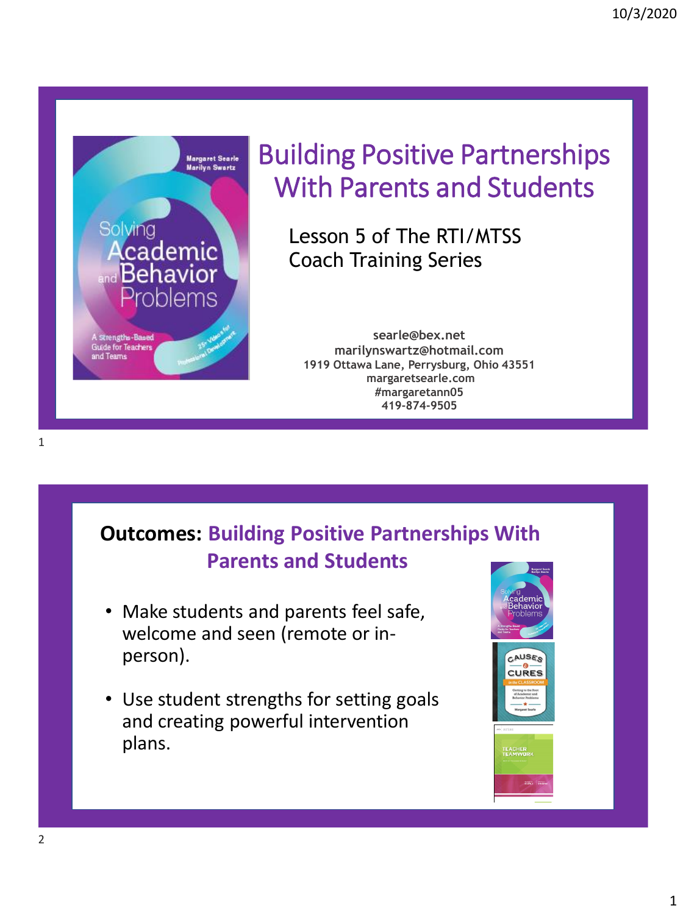

# Building Positive Partnerships With Parents and Students

Lesson 5 of The RTI/MTSS Coach Training Series

**searle@bex.net marilynswartz@hotmail.com 1919 Ottawa Lane, Perrysburg, Ohio 43551 margaretsearle.com #margaretann05 419-874-9505**

### **Outcomes: Building Positive Partnerships With Parents and Students**

- Make students and parents feel safe, welcome and seen (remote or inperson).
- Use student strengths for setting goals and creating powerful intervention plans.

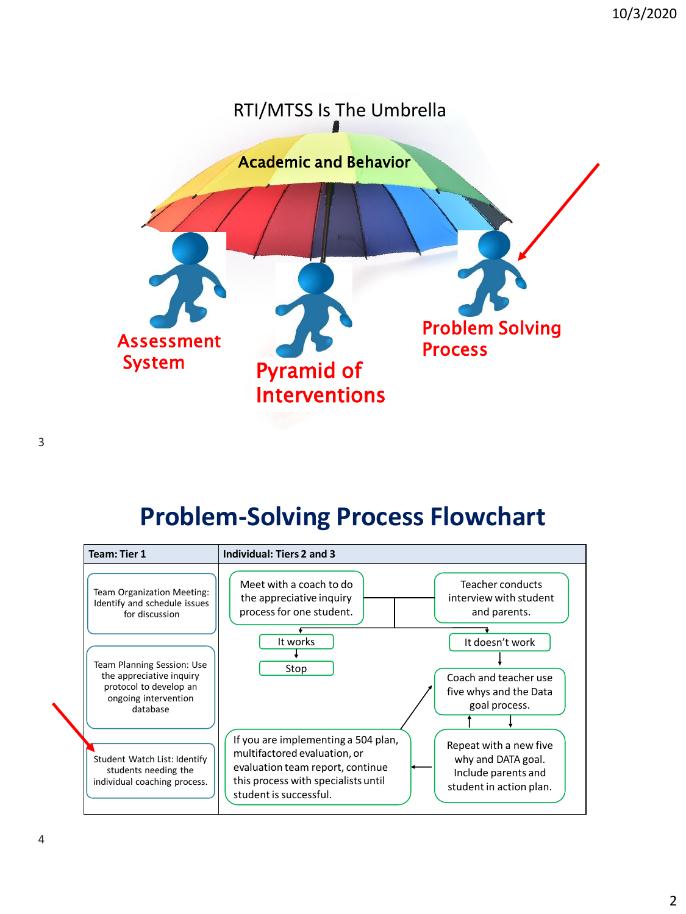

# **Problem-Solving Process Flowchart**

| <b>Team: Tier 1</b>                                                                                                  | Individual: Tiers 2 and 3                                                                                                                                                                                                                                                  |
|----------------------------------------------------------------------------------------------------------------------|----------------------------------------------------------------------------------------------------------------------------------------------------------------------------------------------------------------------------------------------------------------------------|
| Team Organization Meeting:<br>Identify and schedule issues<br>for discussion                                         | Meet with a coach to do<br>Teacher conducts<br>the appreciative inquiry<br>interview with student<br>process for one student.<br>and parents.                                                                                                                              |
| Team Planning Session: Use<br>the appreciative inquiry<br>protocol to develop an<br>ongoing intervention<br>database | It works<br>It doesn't work<br>Stop<br>Coach and teacher use<br>five whys and the Data<br>goal process.                                                                                                                                                                    |
| Student Watch List: Identify<br>students needing the<br>individual coaching process.                                 | If you are implementing a 504 plan,<br>Repeat with a new five<br>multifactored evaluation, or<br>why and DATA goal.<br>evaluation team report, continue<br>Include parents and<br>this process with specialists until<br>student in action plan.<br>student is successful. |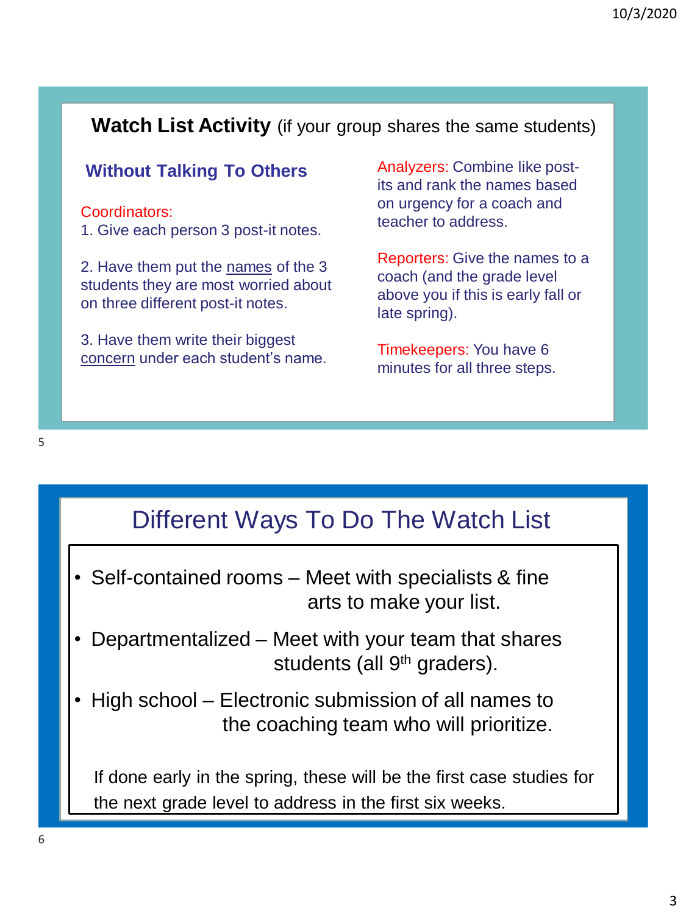#### **Watch List Activity** (if your group shares the same students)

#### **Without Talking To Others**

#### Coordinators:

1. Give each person 3 post-it notes.

2. Have them put the names of the 3 students they are most worried about on three different post-it notes.

3. Have them write their biggest concern under each student's name. Analyzers: Combine like postits and rank the names based on urgency for a coach and teacher to address.

Reporters: Give the names to a coach (and the grade level above you if this is early fall or late spring).

Timekeepers: You have 6 minutes for all three steps.

### Different Ways To Do The Watch List

- Self-contained rooms Meet with specialists & fine arts to make your list.
- Departmentalized Meet with your team that shares students (all 9<sup>th</sup> graders).
- High school Electronic submission of all names to the coaching team who will prioritize.

If done early in the spring, these will be the first case studies for the next grade level to address in the first six weeks.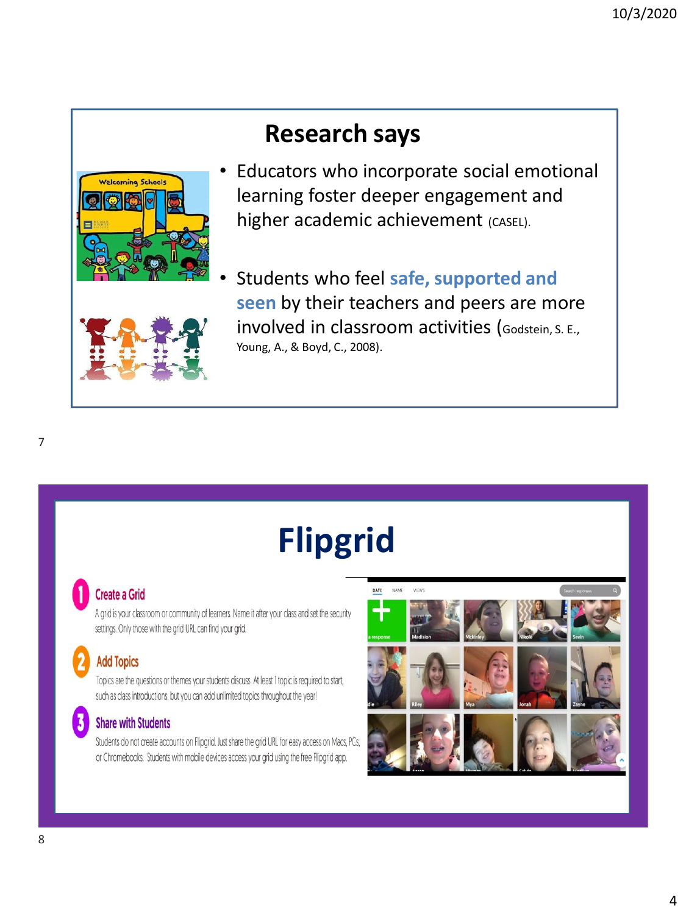## **Research says**



- Educators who incorporate social emotional learning foster deeper engagement and higher academic achievement (CASEL).
- Students who feel **safe, supported and seen** by their teachers and peers are more involved in classroom activities (Godstein, S. E., Young, A., & Boyd, C., 2008).

# **Flipgrid**

#### **Create a Grid**

A grid is your classroom or community of learners. Name it after your class and set the security settings. Only those with the grid URL can find your grid.

#### **Add Topics**

Topics are the questions or themes your students discuss. At least 1 topic is required to start, such as class introductions, but you can add unlimited topics throughout the year!

#### **Share with Students**

Students do not create accounts on Flipgrid. Just share the grid URL for easy access on Macs, PCs, or Chromebooks. Students with mobile devices access your grid using the free Flipgrid app.

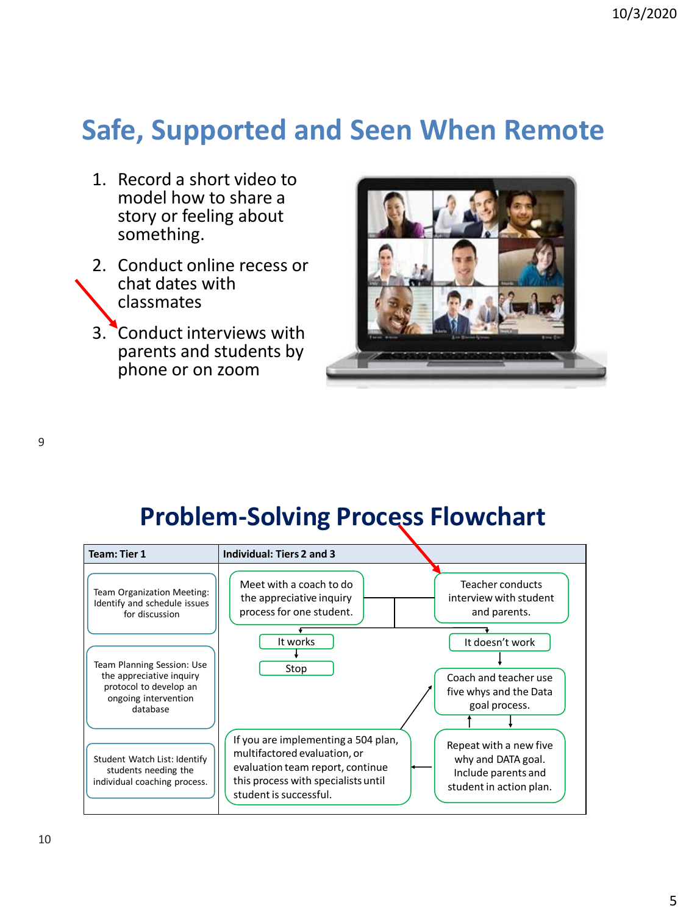# **Safe, Supported and Seen When Remote**

- 1. Record a short video to model how to share a story or feeling about something.
- 2. Conduct online recess or chat dates with classmates
- 3. Conduct interviews with parents and students by phone or on zoom



# **Problem-Solving Process Flowchart**

| <b>Team: Tier 1</b>                                                                                                  | Individual: Tiers 2 and 3                                                                                                                                                                                                                                                  |
|----------------------------------------------------------------------------------------------------------------------|----------------------------------------------------------------------------------------------------------------------------------------------------------------------------------------------------------------------------------------------------------------------------|
| Team Organization Meeting:<br>Identify and schedule issues<br>for discussion                                         | Meet with a coach to do<br>Teacher conducts<br>interview with student<br>the appreciative inquiry<br>process for one student.<br>and parents.                                                                                                                              |
| Team Planning Session: Use<br>the appreciative inquiry<br>protocol to develop an<br>ongoing intervention<br>database | It works<br>It doesn't work<br>Stop<br>Coach and teacher use<br>five whys and the Data<br>goal process.                                                                                                                                                                    |
| Student Watch List: Identify<br>students needing the<br>individual coaching process.                                 | If you are implementing a 504 plan,<br>Repeat with a new five<br>multifactored evaluation, or<br>why and DATA goal.<br>evaluation team report, continue<br>Include parents and<br>this process with specialists until<br>student in action plan.<br>student is successful. |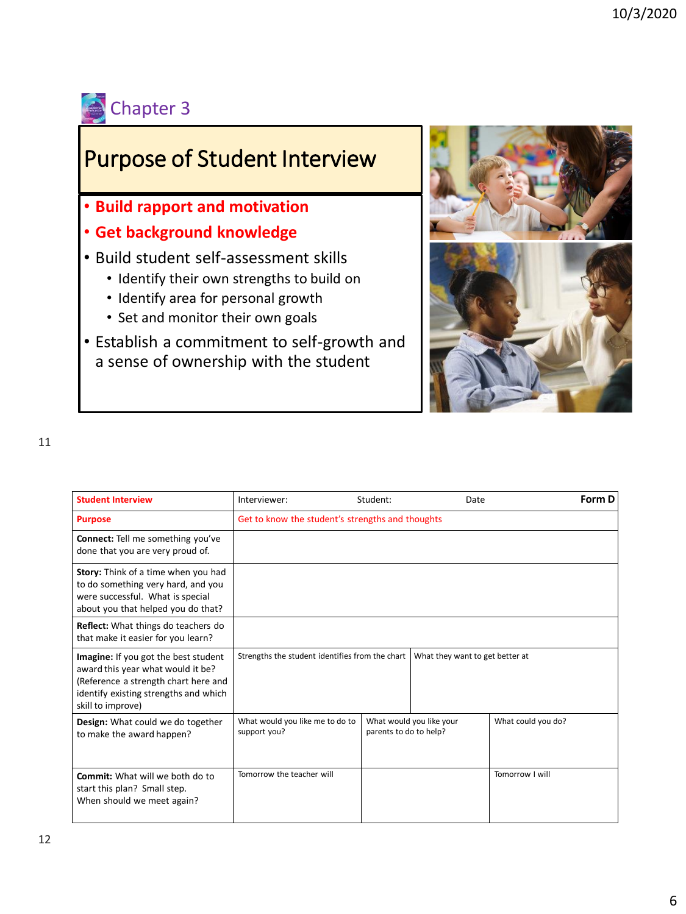

### Purpose of Student Interview

- **Build rapport and motivation**
- **Get background knowledge**
- Build student self-assessment skills
	- Identify their own strengths to build on
	- Identify area for personal growth
	- Set and monitor their own goals
- Establish a commitment to self-growth and a sense of ownership with the student



| <b>Student Interview</b>                                                                                                                                                        | Student:<br>Date<br>Interviewer:                                                   |                                                    | Form D |                    |  |
|---------------------------------------------------------------------------------------------------------------------------------------------------------------------------------|------------------------------------------------------------------------------------|----------------------------------------------------|--------|--------------------|--|
| <b>Purpose</b>                                                                                                                                                                  | Get to know the student's strengths and thoughts                                   |                                                    |        |                    |  |
| <b>Connect:</b> Tell me something you've<br>done that you are very proud of.                                                                                                    |                                                                                    |                                                    |        |                    |  |
| Story: Think of a time when you had<br>to do something very hard, and you<br>were successful. What is special<br>about you that helped you do that?                             |                                                                                    |                                                    |        |                    |  |
| Reflect: What things do teachers do<br>that make it easier for you learn?                                                                                                       |                                                                                    |                                                    |        |                    |  |
| Imagine: If you got the best student<br>award this year what would it be?<br>(Reference a strength chart here and<br>identify existing strengths and which<br>skill to improve) | Strengths the student identifies from the chart<br>What they want to get better at |                                                    |        |                    |  |
| Design: What could we do together<br>to make the award happen?                                                                                                                  | What would you like me to do to<br>support you?                                    | What would you like your<br>parents to do to help? |        | What could you do? |  |
| <b>Commit:</b> What will we both do to<br>start this plan? Small step.<br>When should we meet again?                                                                            | Tomorrow the teacher will                                                          |                                                    |        | Tomorrow I will    |  |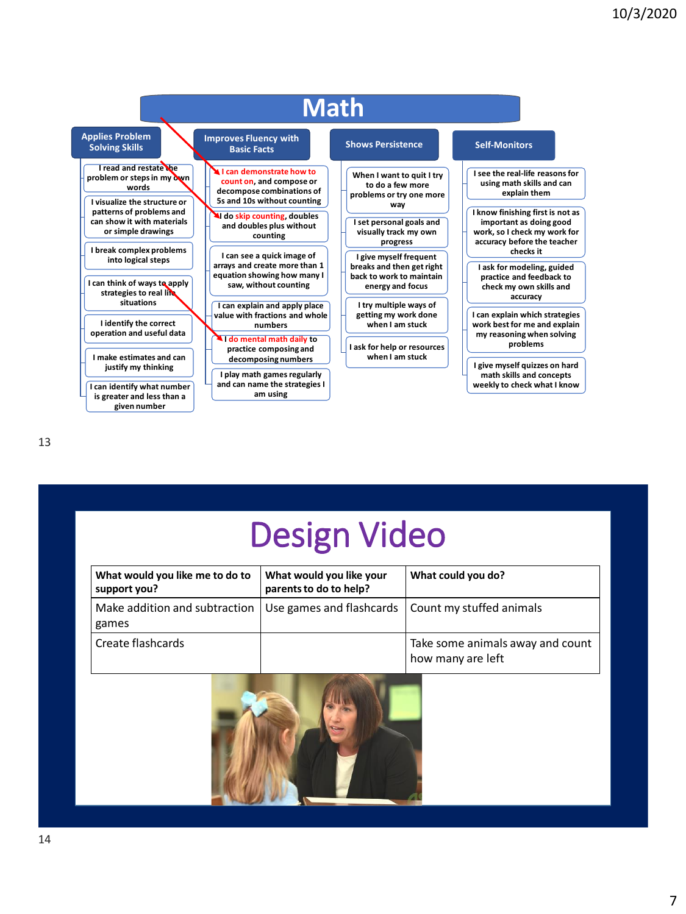

| <b>Design Video</b> |
|---------------------|
|---------------------|

| What would you like me to do to<br>support you? | What would you like your<br>parents to do to help?  | What could you do?                                    |
|-------------------------------------------------|-----------------------------------------------------|-------------------------------------------------------|
| Make addition and subtraction<br>games          | Use games and flashcards   Count my stuffed animals |                                                       |
| Create flashcards                               |                                                     | Take some animals away and count<br>how many are left |

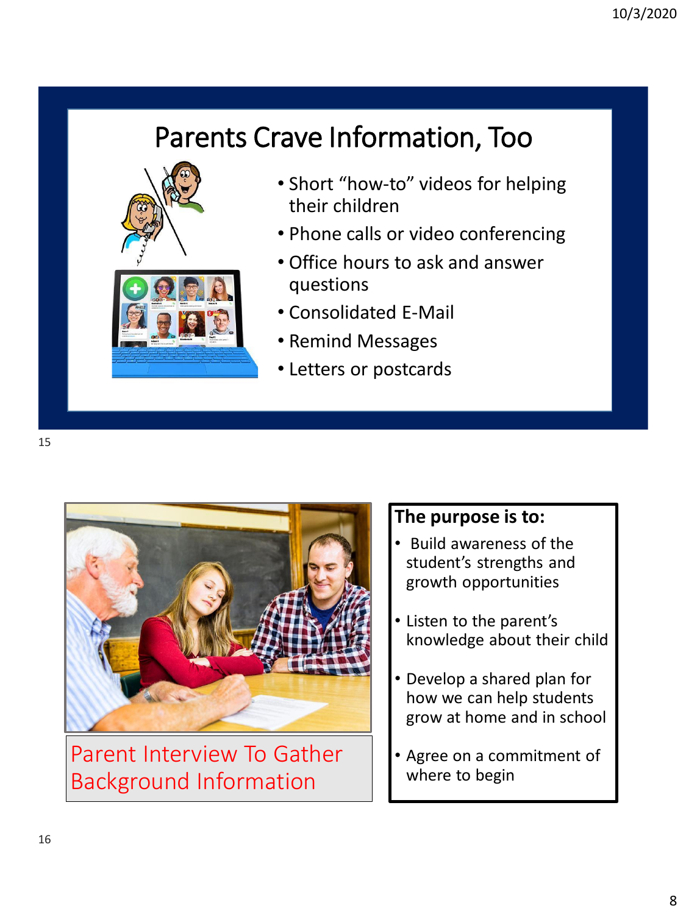# Parents Crave Information, Too



- Short "how-to" videos for helping their children
- Phone calls or video conferencing
- Office hours to ask and answer questions
- Consolidated E-Mail
- Remind Messages
- Letters or postcards



Parent Interview To Gather Background Information

#### **The purpose is to:**

- Build awareness of the student's strengths and growth opportunities
- Listen to the parent's knowledge about their child
- Develop a shared plan for how we can help students grow at home and in school
- Agree on a commitment of where to begin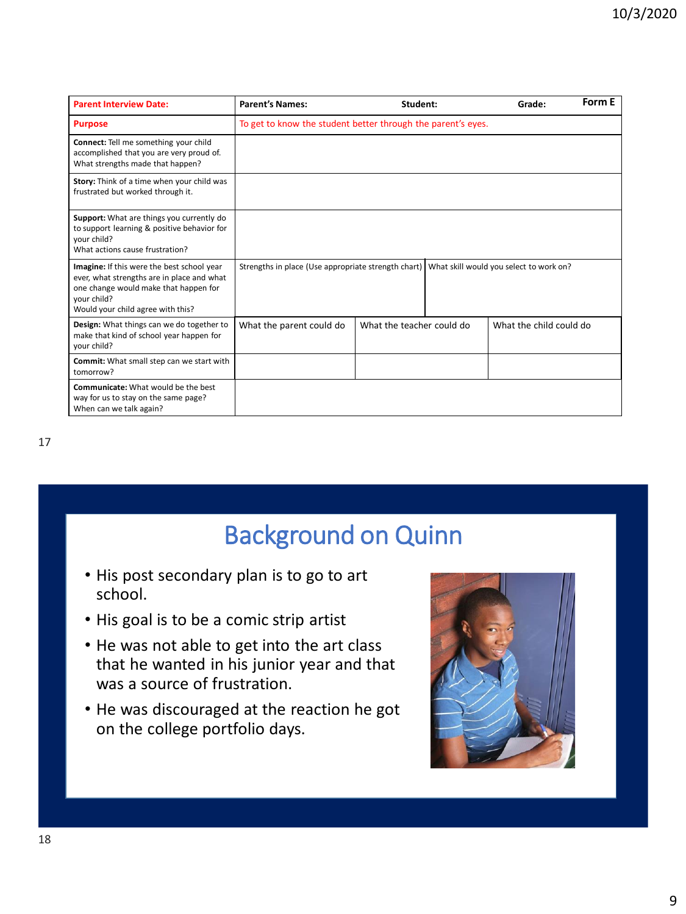| <b>Parent Interview Date:</b>                                                                                                                                                         | <b>Parent's Names:</b>                                       | Student:                  |  | Grade:                                  | Form E |
|---------------------------------------------------------------------------------------------------------------------------------------------------------------------------------------|--------------------------------------------------------------|---------------------------|--|-----------------------------------------|--------|
| <b>Purpose</b>                                                                                                                                                                        | To get to know the student better through the parent's eyes. |                           |  |                                         |        |
| Connect: Tell me something your child<br>accomplished that you are very proud of.<br>What strengths made that happen?                                                                 |                                                              |                           |  |                                         |        |
| Story: Think of a time when your child was<br>frustrated but worked through it.                                                                                                       |                                                              |                           |  |                                         |        |
| Support: What are things you currently do<br>to support learning & positive behavior for<br>your child?<br>What actions cause frustration?                                            |                                                              |                           |  |                                         |        |
| Imagine: If this were the best school year<br>ever, what strengths are in place and what<br>one change would make that happen for<br>vour child?<br>Would your child agree with this? | Strengths in place (Use appropriate strength chart)          |                           |  | What skill would you select to work on? |        |
| Design: What things can we do together to<br>make that kind of school year happen for<br>your child?                                                                                  | What the parent could do                                     | What the teacher could do |  | What the child could do                 |        |
| Commit: What small step can we start with<br>tomorrow?                                                                                                                                |                                                              |                           |  |                                         |        |
| <b>Communicate:</b> What would be the best<br>way for us to stay on the same page?<br>When can we talk again?                                                                         |                                                              |                           |  |                                         |        |

# Background on Quinn

- His post secondary plan is to go to art school.
- His goal is to be a comic strip artist
- He was not able to get into the art class that he wanted in his junior year and that was a source of frustration.
- He was discouraged at the reaction he got on the college portfolio days.

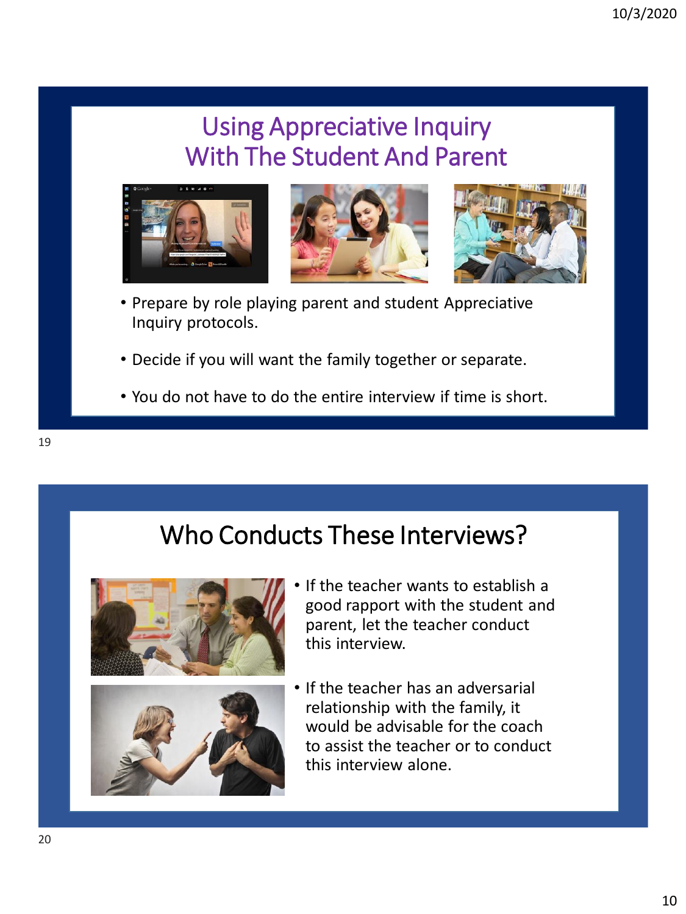# Using Appreciative Inquiry With The Student And Parent



- Prepare by role playing parent and student Appreciative Inquiry protocols.
- Decide if you will want the family together or separate.
- You do not have to do the entire interview if time is short.

# Who Conducts These Interviews?





- If the teacher wants to establish a good rapport with the student and parent, let the teacher conduct this interview.
- If the teacher has an adversarial relationship with the family, it would be advisable for the coach to assist the teacher or to conduct this interview alone.